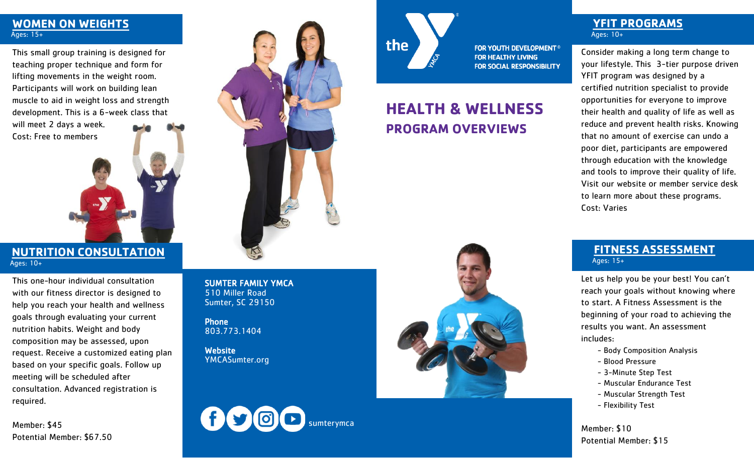### **WOMEN ON WEIGHTS** Ages: 15+

This small group training is designed for teaching proper technique and form for lifting movements in the weight room. Participants will work on building lean muscle to aid in weight loss and strength development. This is a 6-week class that will meet 2 days a week. Cost: Free to members

## **NUTRITION CONSULTATION** Ages: 10+

This one-hour individual consultation with our fitness director is designed to help you reach your health and wellness goals through evaluating your current nutrition habits. Weight and body composition may be assessed, upon request. Receive a customized eating plan based on your specific goals. Follow up meeting will be scheduled after consultation. Advanced registration is required.

Member: \$45 Potential Member: \$67.50



SUMTER FAMILY YMCA 510 Miller Road Sumter, SC 29150

Phone 803.773.1404

**Website** YMCASumter.org



**HEALTH & WELLNESS** 

**FOR YOUTH DEVELOPMENT<sup>®</sup> FOR HEALTHY LIVING** 

**FOR SOCIAL RESPONSIBILITY** 

**PROGRAM OVERVIEWS**

the



## **YFIT PROGRAMS** Ages: 10+

Consider making a long term change to your lifestyle. This 3-tier purpose driven YFIT program was designed by a certified nutrition specialist to provide opportunities for everyone to improve their health and quality of life as well as reduce and prevent health risks. Knowing that no amount of exercise can undo a poor diet, participants are empowered through education with the knowledge and tools to improve their quality of life. Visit our website or member service desk to learn more about these programs. Cost: Varies

### **FITNESS ASSESSMENT** Ages: 15+

Let us help you be your best! You can't reach your goals without knowing where to start. A Fitness Assessment is the beginning of your road to achieving the results you want. An assessment includes:

- Body Composition Analysis
- Blood Pressure
- 3-Minute Step Test
- Muscular Endurance Test
- Muscular Strength Test
- Flexibility Test

Member: \$10 Potential Member: \$15